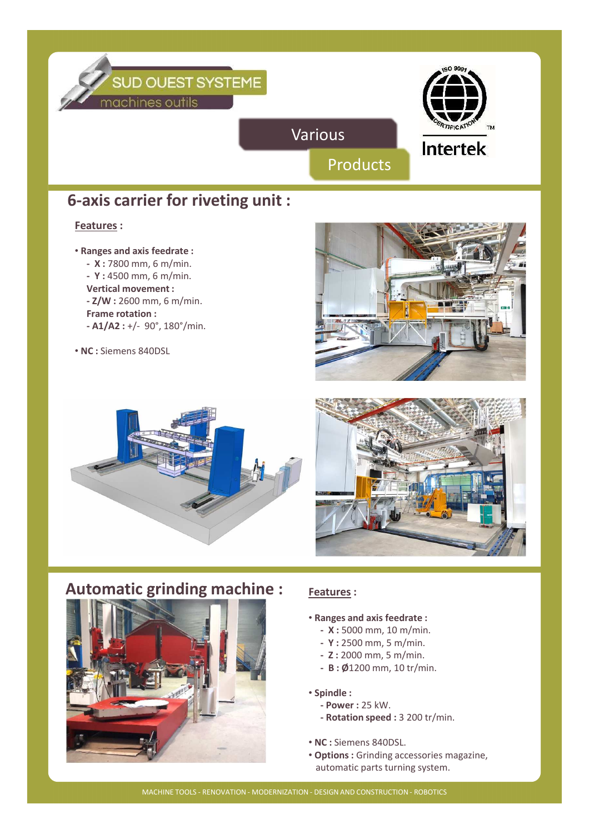

## **6-axis carrier for riveting unit :**

#### **Features :**

- **Ranges and axis feedrate :**
	- **X :** 7800 mm, 6 m/min.
	- **Y :** 4500 mm, 6 m/min.
	- **Vertical movement :**
	- **Z/W :** 2600 mm, 6 m/min.
	- **Frame rotation :**
	- **A1/A2 :** +/- 90°, 180°/min.
- **NC :** Siemens 840DSL







# **Automatic grinding machine : Features**:



- **Ranges and axis feedrate :**
	- **X :** 5000 mm, 10 m/min.
	- **Y :** 2500 mm, 5 m/min.
	- **Z :** 2000 mm, 5 m/min.
	- **B : Ø**1200 mm, 10 tr/min.

#### • **Spindle :**

- **Power :** 25 kW.
- **Rotation speed :** 3 200 tr/min.
- **NC :** Siemens 840DSL.
- **Options :** Grinding accessories magazine, automatic parts turning system.